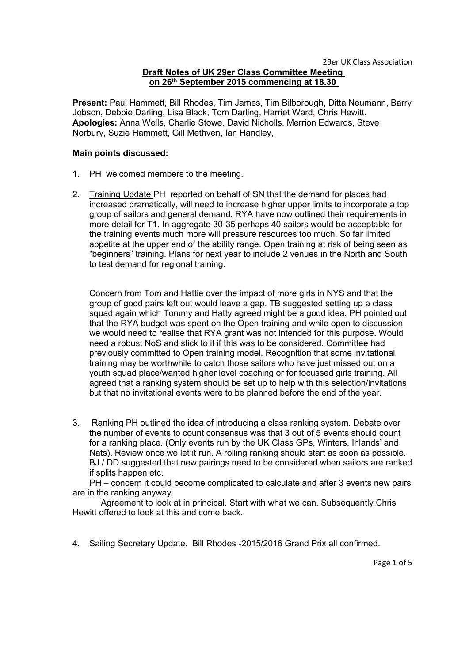### **Draft Notes of UK 29er Class Committee Meeting on 26th September 2015 commencing at 18.30**

**Present:** Paul Hammett, Bill Rhodes, Tim James, Tim Bilborough, Ditta Neumann, Barry Jobson, Debbie Darling, Lisa Black, Tom Darling, Harriet Ward, Chris Hewitt. **Apologies:** Anna Wells, Charlie Stowe, David Nicholls. Merrion Edwards, Steve Norbury, Suzie Hammett, Gill Methven, Ian Handley,

#### **Main points discussed:**

- 1. PH welcomed members to the meeting.
- 2. Training Update PH reported on behalf of SN that the demand for places had increased dramatically, will need to increase higher upper limits to incorporate a top group of sailors and general demand. RYA have now outlined their requirements in more detail for T1. In aggregate 30-35 perhaps 40 sailors would be acceptable for the training events much more will pressure resources too much. So far limited appetite at the upper end of the ability range. Open training at risk of being seen as "beginners" training. Plans for next year to include 2 venues in the North and South to test demand for regional training.

Concern from Tom and Hattie over the impact of more girls in NYS and that the group of good pairs left out would leave a gap. TB suggested setting up a class squad again which Tommy and Hatty agreed might be a good idea. PH pointed out that the RYA budget was spent on the Open training and while open to discussion we would need to realise that RYA grant was not intended for this purpose. Would need a robust NoS and stick to it if this was to be considered. Committee had previously committed to Open training model. Recognition that some invitational training may be worthwhile to catch those sailors who have just missed out on a youth squad place/wanted higher level coaching or for focussed girls training. All agreed that a ranking system should be set up to help with this selection/invitations but that no invitational events were to be planned before the end of the year.

3. Ranking PH outlined the idea of introducing a class ranking system. Debate over the number of events to count consensus was that 3 out of 5 events should count for a ranking place. (Only events run by the UK Class GPs, Winters, Inlands' and Nats). Review once we let it run. A rolling ranking should start as soon as possible. BJ / DD suggested that new pairings need to be considered when sailors are ranked if splits happen etc.

PH – concern it could become complicated to calculate and after 3 events new pairs are in the ranking anyway.

Agreement to look at in principal. Start with what we can. Subsequently Chris Hewitt offered to look at this and come back.

4. Sailing Secretary Update. Bill Rhodes -2015/2016 Grand Prix all confirmed.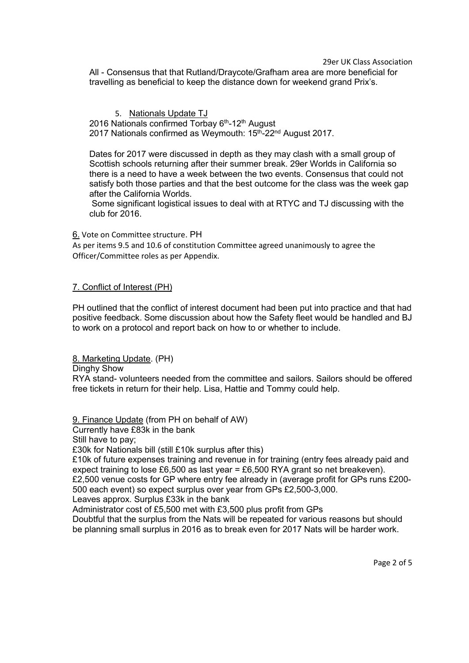29er UK Class Association

All - Consensus that that Rutland/Draycote/Grafham area are more beneficial for travelling as beneficial to keep the distance down for weekend grand Prix's.

5. Nationals Update TJ 2016 Nationals confirmed Torbay 6<sup>th</sup>-12<sup>th</sup> August 2017 Nationals confirmed as Weymouth: 15<sup>th</sup>-22<sup>nd</sup> August 2017.

Dates for 2017 were discussed in depth as they may clash with a small group of Scottish schools returning after their summer break. 29er Worlds in California so there is a need to have a week between the two events.Consensus that could not satisfy both those parties and that the best outcome for the class was the week gap after the California Worlds.

Some significant logistical issues to deal with atRTYC and TJ discussing with the club for 2016.

6. Vote on Committee structure.PH

As per items 9.5 and 10.6 of constitution Committee agreed unanimously to agree the Officer/Committee roles as per Appendix.

### 7. Conflict of Interest (PH)

PH outlined that the conflict of interest document had been put into practice and that had positive feedback. Some discussion about how the Safety fleetwould be handled and BJ to work on a protocol and report back on how to or whether to include.

8. Marketing Update. (PH)

Dinghy Show

RYA stand- volunteers needed from the committee and sailors. Sailors should be offered free tickets in return for their help. Lisa, Hattie and Tommy could help.

9. Finance Update (from PH on behalf of AW) Currently have £83k in the bank

Still have to pay;

£30k for Nationals bill (still £10k surplus after this)

£10k of future expenses training and revenue in for training (entry fees already paid and expect training to lose £6,500 as last year = £6,500 RYA grant so net breakeven). £2,500 venue costs for GP where entry fee already in (average profit for GPs runs £200- 500 each event) so expect surplus over year from GPs £2,500-3,000.

Leaves approx. Surplus £33k in the bank

Administrator cost of £5,500 met with £3,500 plus profit from GPs

Doubtful that the surplus from the Nats will be repeated for various reasons but should be planning small surplus in 2016 as to break even for 2017 Nats will be harder work.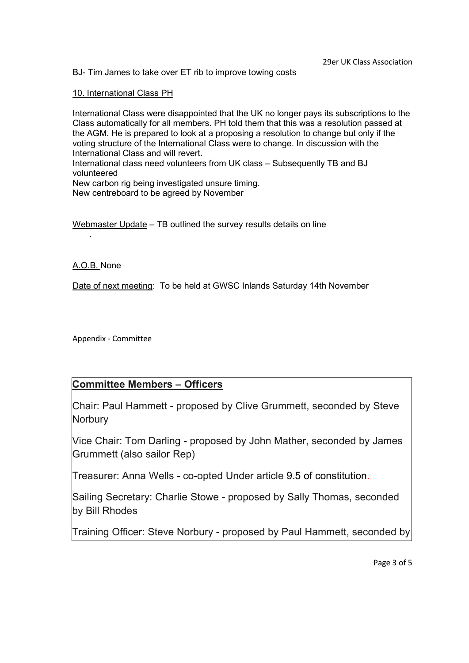BJ- Tim James to take over ET rib to improve towing costs

10. International Class PH

International Class were disappointed that the UK no longer pays its subscriptions to the Class automatically for all members. PH told them that this was a resolution passed at the AGM. He is prepared to look at a proposing a resolution to change but only if the voting structure of the International Class were to change. In discussion with the International Class and will revert.

International class need volunteers from UK class – Subsequently TB and BJ volunteered

New carbon rig being investigated unsure timing.

New centreboard to be agreed by November

Webmaster Update – TB outlined the survey results details on line

A.O.B. None

Date of next meeting: To be held at GWSC Inlands Saturday 14th November

Appendix - Committee

.

## **Committee Members – Officers**

Chair: Paul Hammett - proposed by Clive Grummett, seconded by Steve **Norbury** 

Vice Chair: Tom Darling - proposed by John Mather, seconded by James Grummett (also sailor Rep)

Treasurer: Anna Wells - co-opted Under article 9.5 of constitution.

Sailing Secretary: Charlie Stowe - proposed by Sally Thomas, seconded by Bill Rhodes

Training Officer: Steve Norbury - proposed by Paul Hammett, seconded by

Page 3 of 5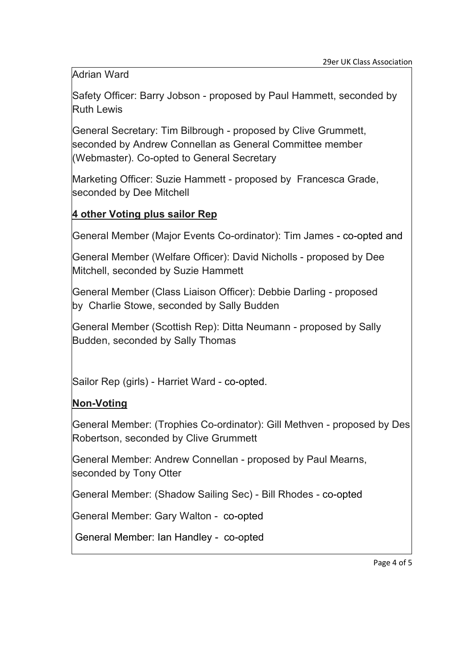Adrian Ward

Safety Officer: Barry Jobson - proposed by Paul Hammett, seconded by Ruth Lewis

General Secretary: Tim Bilbrough - proposed by Clive Grummett, seconded by Andrew Connellan as General Committee member (Webmaster). Co-opted to General Secretary

Marketing Officer: Suzie Hammett - proposed by Francesca Grade, seconded by Dee Mitchell

## **4 other Voting plus sailor Rep**

General Member (Major Events Co-ordinator): Tim James - co-opted and

General Member (Welfare Officer): David Nicholls - proposed by Dee Mitchell, seconded by Suzie Hammett

General Member (Class Liaison Officer): Debbie Darling - proposed by Charlie Stowe, seconded by Sally Budden

General Member (Scottish Rep): Ditta Neumann - proposed by Sally Budden, seconded by Sally Thomas

Sailor Rep (girls) - Harriet Ward - co-opted.

# **Non-Voting**

General Member: (Trophies Co-ordinator): Gill Methven - proposed by Des Robertson, seconded by Clive Grummett

General Member: Andrew Connellan - proposed by Paul Mearns, seconded by Tony Otter

General Member: (Shadow Sailing Sec) - Bill Rhodes - co-opted

General Member: Gary Walton - co-opted

General Member: Ian Handley - co-opted

Page 4 of 5